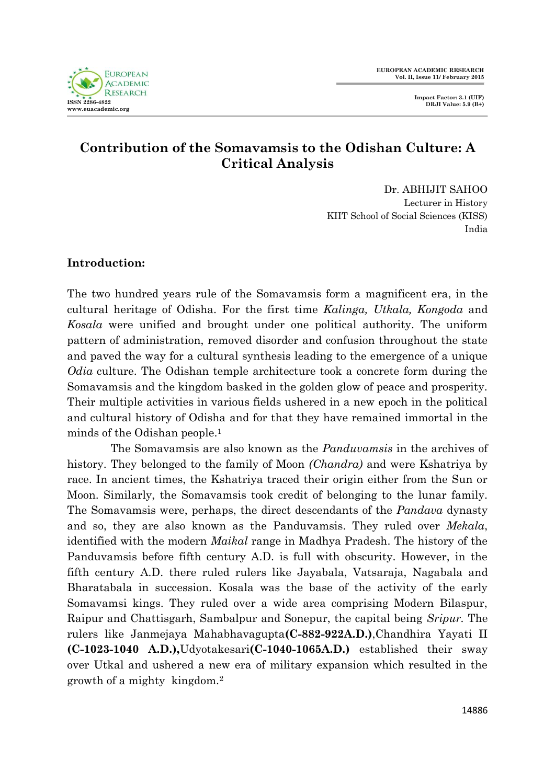

# **Contribution of the Somavamsis to the Odishan Culture: A Critical Analysis**

Dr. ABHIJIT SAHOO Lecturer in History KIIT School of Social Sciences (KISS) India

# **Introduction:**

The two hundred years rule of the Somavamsis form a magnificent era, in the cultural heritage of Odisha. For the first time *Kalinga, Utkala, Kongoda* and *Kosala* were unified and brought under one political authority. The uniform pattern of administration, removed disorder and confusion throughout the state and paved the way for a cultural synthesis leading to the emergence of a unique *Odia* culture. The Odishan temple architecture took a concrete form during the Somavamsis and the kingdom basked in the golden glow of peace and prosperity. Their multiple activities in various fields ushered in a new epoch in the political and cultural history of Odisha and for that they have remained immortal in the minds of the Odishan people.<sup>1</sup>

 The Somavamsis are also known as the *Panduvamsis* in the archives of history. They belonged to the family of Moon *(Chandra)* and were Kshatriya by race. In ancient times, the Kshatriya traced their origin either from the Sun or Moon. Similarly, the Somavamsis took credit of belonging to the lunar family. The Somavamsis were, perhaps, the direct descendants of the *Pandava* dynasty and so, they are also known as the Panduvamsis. They ruled over *Mekala*, identified with the modern *Maikal* range in Madhya Pradesh. The history of the Panduvamsis before fifth century A.D. is full with obscurity. However, in the fifth century A.D. there ruled rulers like Jayabala, Vatsaraja, Nagabala and Bharatabala in succession. Kosala was the base of the activity of the early Somavamsi kings. They ruled over a wide area comprising Modern Bilaspur, Raipur and Chattisgarh, Sambalpur and Sonepur, the capital being *Sripur.* The rulers like Janmejaya Mahabhavagupta**(C-882-922A.D.)**,Chandhira Yayati II **(C-1023-1040 A.D.),**Udyotakesari**(C-1040-1065A.D.)** established their sway over Utkal and ushered a new era of military expansion which resulted in the growth of a mighty kingdom.2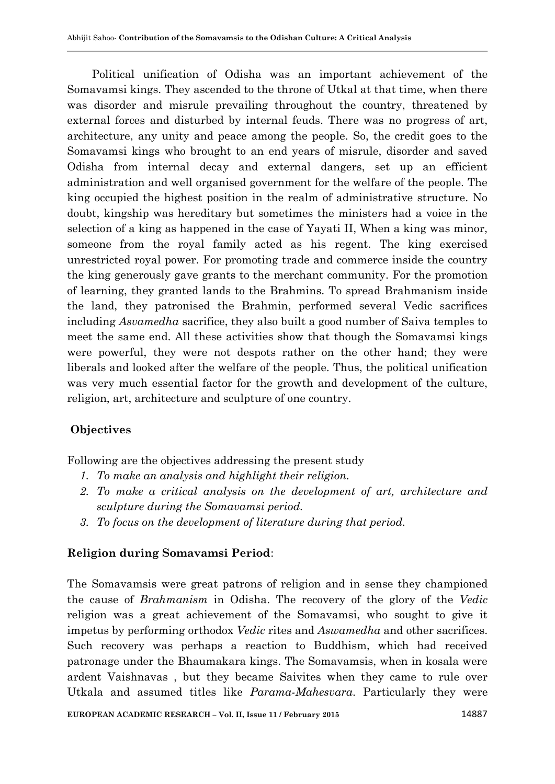Political unification of Odisha was an important achievement of the Somavamsi kings. They ascended to the throne of Utkal at that time, when there was disorder and misrule prevailing throughout the country, threatened by external forces and disturbed by internal feuds. There was no progress of art, architecture, any unity and peace among the people. So, the credit goes to the Somavamsi kings who brought to an end years of misrule, disorder and saved Odisha from internal decay and external dangers, set up an efficient administration and well organised government for the welfare of the people. The king occupied the highest position in the realm of administrative structure. No doubt, kingship was hereditary but sometimes the ministers had a voice in the selection of a king as happened in the case of Yayati II, When a king was minor, someone from the royal family acted as his regent. The king exercised unrestricted royal power. For promoting trade and commerce inside the country the king generously gave grants to the merchant community. For the promotion of learning, they granted lands to the Brahmins. To spread Brahmanism inside the land, they patronised the Brahmin, performed several Vedic sacrifices including *Asvamedha* sacrifice, they also built a good number of Saiva temples to meet the same end. All these activities show that though the Somavamsi kings were powerful, they were not despots rather on the other hand; they were liberals and looked after the welfare of the people. Thus, the political unification was very much essential factor for the growth and development of the culture, religion, art, architecture and sculpture of one country.

# **Objectives**

Following are the objectives addressing the present study

- *1. To make an analysis and highlight their religion.*
- *2. To make a critical analysis on the development of art, architecture and sculpture during the Somavamsi period.*
- *3. To focus on the development of literature during that period.*

# **Religion during Somavamsi Period**:

The Somavamsis were great patrons of religion and in sense they championed the cause of *Brahmanism* in Odisha. The recovery of the glory of the *Vedic*  religion was a great achievement of the Somavamsi, who sought to give it impetus by performing orthodox *Vedic* rites and *Aswamedha* and other sacrifices. Such recovery was perhaps a reaction to Buddhism, which had received patronage under the Bhaumakara kings. The Somavamsis, when in kosala were ardent Vaishnavas , but they became Saivites when they came to rule over Utkala and assumed titles like *Parama-Mahesvara*. Particularly they were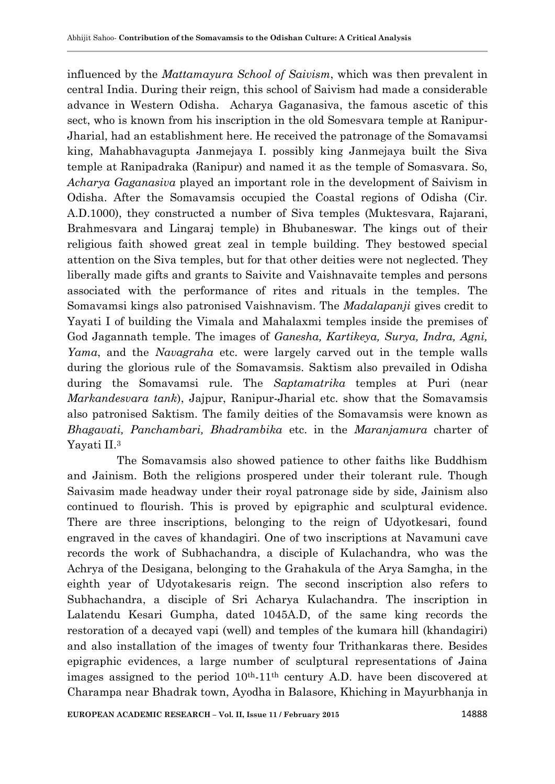influenced by the *Mattamayura School of Saivism*, which was then prevalent in central India. During their reign, this school of Saivism had made a considerable advance in Western Odisha. Acharya Gaganasiva, the famous ascetic of this sect, who is known from his inscription in the old Somesvara temple at Ranipur-Jharial, had an establishment here. He received the patronage of the Somavamsi king, Mahabhavagupta Janmejaya I. possibly king Janmejaya built the Siva temple at Ranipadraka (Ranipur) and named it as the temple of Somasvara. So, *Acharya Gaganasiva* played an important role in the development of Saivism in Odisha. After the Somavamsis occupied the Coastal regions of Odisha (Cir. A.D.1000), they constructed a number of Siva temples (Muktesvara, Rajarani, Brahmesvara and Lingaraj temple) in Bhubaneswar. The kings out of their religious faith showed great zeal in temple building. They bestowed special attention on the Siva temples, but for that other deities were not neglected. They liberally made gifts and grants to Saivite and Vaishnavaite temples and persons associated with the performance of rites and rituals in the temples. The Somavamsi kings also patronised Vaishnavism. The *Madalapanji* gives credit to Yayati I of building the Vimala and Mahalaxmi temples inside the premises of God Jagannath temple. The images of *Ganesha, Kartikeya, Surya, Indra, Agni, Yama*, and the *Navagraha* etc. were largely carved out in the temple walls during the glorious rule of the Somavamsis. Saktism also prevailed in Odisha during the Somavamsi rule. The *Saptamatrika* temples at Puri (near *Markandesvara tank*), Jajpur, Ranipur-Jharial etc. show that the Somavamsis also patronised Saktism. The family deities of the Somavamsis were known as *Bhagavati, Panchambari, Bhadrambika* etc. in the *Maranjamura* charter of Yayati II.<sup>3</sup>

 The Somavamsis also showed patience to other faiths like Buddhism and Jainism. Both the religions prospered under their tolerant rule. Though Saivasim made headway under their royal patronage side by side, Jainism also continued to flourish. This is proved by epigraphic and sculptural evidence. There are three inscriptions, belonging to the reign of Udyotkesari, found engraved in the caves of khandagiri. One of two inscriptions at Navamuni cave records the work of Subhachandra, a disciple of Kulachandra*,* who was the Achrya of the Desigana, belonging to the Grahakula of the Arya Samgha, in the eighth year of Udyotakesaris reign. The second inscription also refers to Subhachandra, a disciple of Sri Acharya Kulachandra. The inscription in Lalatendu Kesari Gumpha, dated 1045A.D, of the same king records the restoration of a decayed vapi (well) and temples of the kumara hill (khandagiri) and also installation of the images of twenty four Trithankaras there. Besides epigraphic evidences, a large number of sculptural representations of Jaina images assigned to the period  $10<sup>th</sup>$ -11<sup>th</sup> century A.D. have been discovered at Charampa near Bhadrak town, Ayodha in Balasore, Khiching in Mayurbhanja in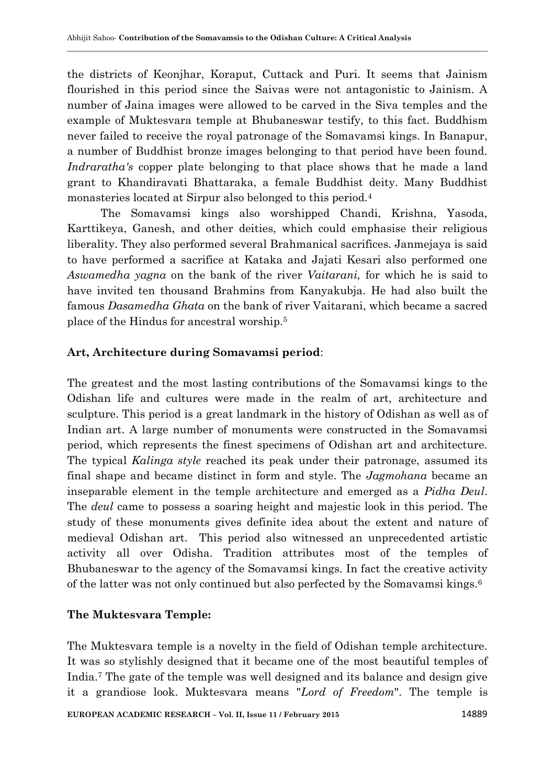the districts of Keonjhar, Koraput, Cuttack and Puri. It seems that Jainism flourished in this period since the Saivas were not antagonistic to Jainism. A number of Jaina images were allowed to be carved in the Siva temples and the example of Muktesvara temple at Bhubaneswar testify, to this fact. Buddhism never failed to receive the royal patronage of the Somavamsi kings. In Banapur, a number of Buddhist bronze images belonging to that period have been found. *Indraratha's* copper plate belonging to that place shows that he made a land grant to Khandiravati Bhattaraka, a female Buddhist deity. Many Buddhist monasteries located at Sirpur also belonged to this period.<sup>4</sup>

The Somavamsi kings also worshipped Chandi, Krishna, Yasoda, Karttikeya, Ganesh, and other deities, which could emphasise their religious liberality. They also performed several Brahmanical sacrifices. Janmejaya is said to have performed a sacrifice at Kataka and Jajati Kesari also performed one *Aswamedha yagna* on the bank of the river *Vaitarani,* for which he is said to have invited ten thousand Brahmins from Kanyakubja. He had also built the famous *Dasamedha Ghata* on the bank of river Vaitarani, which became a sacred place of the Hindus for ancestral worship.<sup>5</sup>

### **Art, Architecture during Somavamsi period**:

The greatest and the most lasting contributions of the Somavamsi kings to the Odishan life and cultures were made in the realm of art, architecture and sculpture. This period is a great landmark in the history of Odishan as well as of Indian art. A large number of monuments were constructed in the Somavamsi period, which represents the finest specimens of Odishan art and architecture. The typical *Kalinga style* reached its peak under their patronage, assumed its final shape and became distinct in form and style. The *Jagmohana* became an inseparable element in the temple architecture and emerged as a *Pidha Deul*. The *deul* came to possess a soaring height and majestic look in this period. The study of these monuments gives definite idea about the extent and nature of medieval Odishan art. This period also witnessed an unprecedented artistic activity all over Odisha. Tradition attributes most of the temples of Bhubaneswar to the agency of the Somavamsi kings. In fact the creative activity of the latter was not only continued but also perfected by the Somavamsi kings.<sup>6</sup>

# **The Muktesvara Temple:**

The Muktesvara temple is a novelty in the field of Odishan temple architecture. It was so stylishly designed that it became one of the most beautiful temples of India.<sup>7</sup> The gate of the temple was well designed and its balance and design give it a grandiose look. Muktesvara means "*Lord of Freedom*". The temple is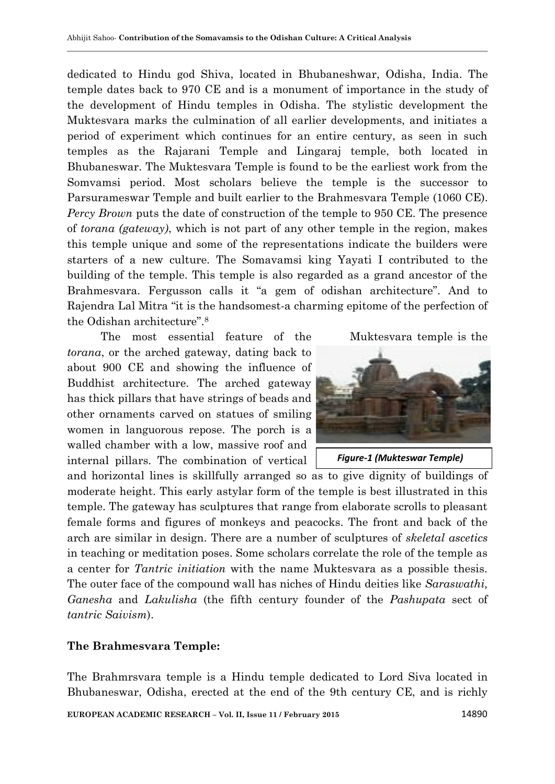dedicated to Hindu god Shiva, located in [Bhubaneshwar,](http://en.wikipedia.org/wiki/Bhubaneshwar) [Odisha,](http://en.wikipedia.org/wiki/Odisha) [India.](http://en.wikipedia.org/wiki/India) The temple dates back to 970 CE and is a monument of importance in the study of the development of [Hindu temples](http://en.wikipedia.org/wiki/Hindu_temples) in [Odisha.](http://en.wikipedia.org/wiki/Odisha) The stylistic development the Muktesvara marks the culmination of all earlier developments, and initiates a period of experiment which continues for an entire century, as seen in such temples as the [Rajarani Temple](http://en.wikipedia.org/wiki/Rajarani_Temple) and [Lingaraj temple,](http://en.wikipedia.org/wiki/Lingaraj_temple) both located in [Bhubaneswar.](http://en.wikipedia.org/wiki/Bhubaneswar) The [Muktesvara Temple](http://en.wikipedia.org/wiki/Mukteswar_Temple) is found to be the earliest work from the [Somvamsi period.](http://en.wikipedia.org/wiki/Somavanshi) Most scholars believe the temple is the successor to [Parsurameswar Temple](http://en.wikipedia.org/wiki/Parsurameswar_Temple) and built earlier to the [Brahmesvara Temple](http://en.wikipedia.org/wiki/Brahmeswara_Temple) (1060 CE). *Percy Brown* puts the date of construction of the temple to 950 CE. The presence of *torana (gateway)*, which is not part of any other temple in the region, makes this temple unique and some of the representations indicate the builders were starters of a new culture. The Somavamsi king Yayati I contributed to the building of the temple. This temple is also regarded as a grand ancestor of the Brahmesvara. Fergusson calls it "a gem of odishan architecture". And to Rajendra Lal Mitra "it is the handsomest-a charming epitome of the perfection of the Odishan architecture".<sup>8</sup>

The most essential feature of the Muktesvara temple is the *torana*, or the arched gateway, dating back to about 900 CE and showing the influence of Buddhist architecture. The arched gateway has thick pillars that have strings of beads and other ornaments carved on statues of smiling women in languorous repose. The porch is a walled chamber with a low, massive roof and internal pillars. The combination of vertical



 *Figure-1 (Mukteswar Temple)*

and horizontal lines is skillfully arranged so as to give dignity of buildings of moderate height. This early astylar form of the temple is best illustrated in this temple. The gateway has sculptures that range from elaborate scrolls to pleasant female forms and figures of monkeys and peacocks. The front and back of the arch are similar in design. There are a number of sculptures of *skeletal ascetics* in teaching or meditation poses. Some scholars correlate the role of the temple as a center for *Tantric initiation* with the name Muktesvara as a possible thesis. The outer face of the compound wall has niches of Hindu deities like *Saraswathi, Ganesha* and *Lakulisha* (the fifth century founder of the *Pashupata* sect of *tantric Saivism*).

#### **The Brahmesvara Temple:**

The Brahmrsvara temple is a [Hindu temple](http://en.wikipedia.org/wiki/Hindu_temple) dedicated to [Lord Siva](http://en.wikipedia.org/wiki/Lord_Siva) located in [Bhubaneswar,](http://en.wikipedia.org/wiki/Bhubaneswar) [Odisha,](http://en.wikipedia.org/wiki/Odisha) erected at the end of the 9th century CE, and is richly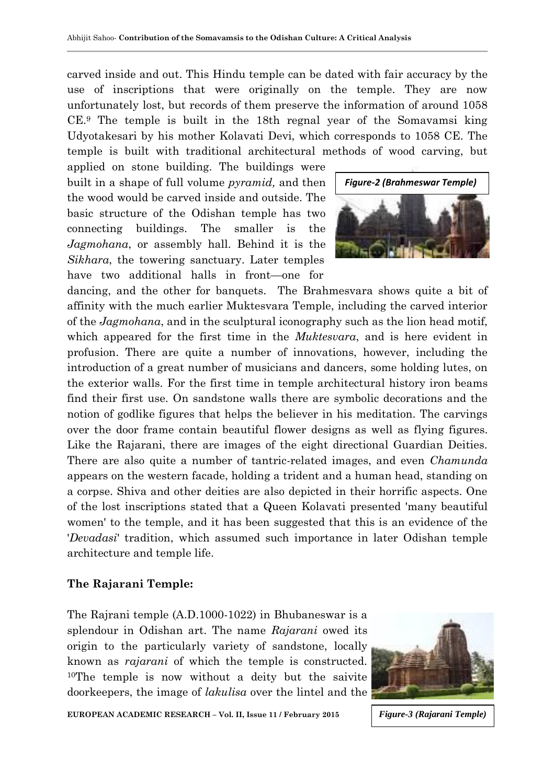carved inside and out. This [Hindu temple](http://en.wikipedia.org/wiki/Hindu_temple) can be dated with fair accuracy by the use of inscriptions that were originally on the temple. They are now unfortunately lost, but records of them preserve the information of around 1058 CE.<sup>9</sup> The temple is built in the 18th regnal year of the Somavamsi king Udyotakesari by his mother Kolavati Devi, which corresponds to 1058 CE. The temple is built with traditional architectural methods of wood carving, but

applied on stone building. The buildings were built in a shape of full volume *pyramid,* and then the wood would be carved inside and outside. The basic structure of the Odishan temple has two connecting buildings. The smaller is the *Jagmohana*, or assembly hall. Behind it is the *Sikhara*, the towering sanctuary. Later temples have two additional halls in front—one for



dancing, and the other for banquets.The Brahmesvara shows quite a bit of affinity with the much earlier Muktesvara Temple, including the carved interior of the *Jagmohana*, and in the sculptural iconography such as the lion head motif, which appeared for the first time in the *Muktesvara*, and is here evident in profusion. There are quite a number of innovations, however, including the introduction of a great number of musicians and dancers, some holding lutes, on the exterior walls. For the first time in temple architectural history iron beams find their first use. On sandstone walls there are symbolic decorations and the notion of godlike figures that helps the believer in his meditation. The carvings over the door frame contain beautiful flower designs as well as flying figures. Like the Rajarani, there are images of the eight directional Guardian Deities. There are also quite a number of tantric-related images, and even *Chamunda*  appears on the western facade, holding a trident and a human head, standing on a corpse. Shiva and other deities are also depicted in their horrific aspects. One of the lost inscriptions stated that a Queen Kolavati presented 'many beautiful women' to the temple, and it has been suggested that this is an evidence of the '*Devadasi*' tradition, which assumed such importance in later Odishan temple architecture and temple life.

### **The Rajarani Temple:**

The Rajrani temple (A.D.1000-1022) in Bhubaneswar is a splendour in Odishan art. The name *Rajarani* owed its origin to the particularly variety of sandstone, locally known as *rajarani* of which the temple is constructed. <sup>10</sup>The temple is now without a deity but the saivite doorkeepers, the image of *lakulisa* over the lintel and the



**EUROPEAN ACADEMIC RESEARCH - Vol. II, Issue 11 / February 2015** 

*Figure-3 (Rajarani Temple)*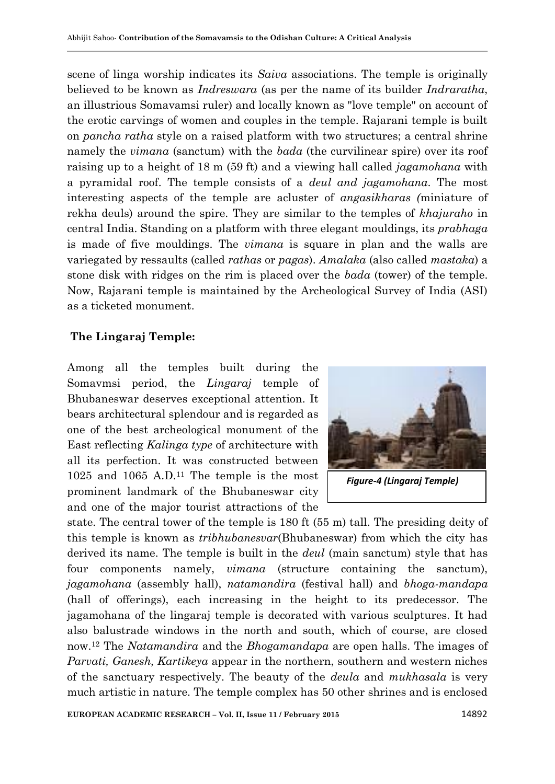scene of linga worship indicates its *Saiva* associations. The temple is originally believed to be known as *Indreswara* (as per the name of its builder *Indraratha*, an illustrious Somavamsi ruler) and locally known as "love temple" on account of the erotic carvings of women and couples in the temple. Rajarani temple is built on *pancha ratha* style on a raised platform with two structures; a central shrine namely the *vimana* (sanctum) with the *bada* (the curvilinear spire) over its roof raising up to a height of 18 m (59 ft) and a viewing hall called *jagamohana* with a pyramidal roof. The temple consists of a *deul and jagamohana*. The most interesting aspects of the temple are acluster of *angasikharas (*miniature of rekha deuls) around the spire. They are similar to the temples of *khajuraho* in central India. Standing on a platform with three elegant mouldings, its *prabhaga* is made of five mouldings. The *vimana* is square in plan and the walls are variegated by ressaults (called *rathas* or *pagas*). *Amalaka* (also called *mastaka*) a stone disk with ridges on the rim is placed over the *bada* (tower) of the temple. Now, Rajarani temple is maintained by the Archeological Survey of India (ASI) as a ticketed monument.

### **The Lingaraj Temple:**

Among all the temples built during the Somavmsi period, the *Lingaraj* temple of Bhubaneswar deserves exceptional attention. It bears architectural splendour and is regarded as one of the best archeological monument of the East reflecting *Kalinga type* of architecture with all its perfection. It was constructed between 1025 and 1065 A.D.<sup>11</sup> The temple is the most prominent landmark of the Bhubaneswar city and one of the major tourist attractions of the



 *Figure-4 (Lingaraj Temple)*

state. The central tower of the temple is 180 ft (55 m) tall. The presiding deity of this temple is known as *tribhubanesvar*(Bhubaneswar) from which the city has derived its name. The temple is built in the *deul* (main sanctum) style that has four components namely, *vimana* (structure containing the sanctum), *jagamohana* (assembly hall), *natamandira* (festival hall) and *bhoga-mandapa* (hall of offerings), each increasing in the height to its predecessor. The jagamohana of the lingaraj temple is decorated with various sculptures. It had also balustrade windows in the north and south, which of course, are closed now.<sup>12</sup> The *Natamandira* and the *Bhogamandapa* are open halls. The images of *Parvati, Ganesh, Kartikeya* appear in the northern, southern and western niches of the sanctuary respectively. The beauty of the *deula* and *mukhasala* is very much artistic in nature. The temple complex has 50 other shrines and is enclosed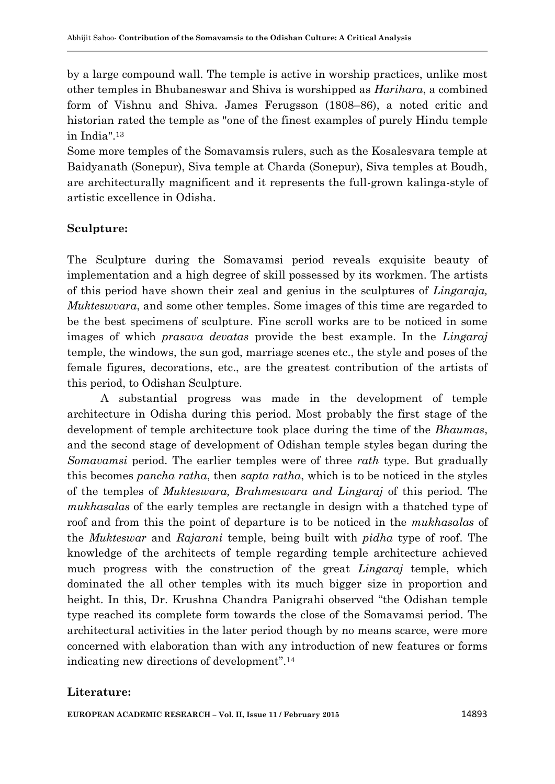by a large compound wall. The temple is active in worship practices, unlike most other temples in Bhubaneswar and Shiva is worshipped as *Harihara*, a combined form of Vishnu and Shiva. James Ferugsson (1808–86), a noted critic and historian rated the temple as "one of the finest examples of purely Hindu temple in India".<sup>13</sup>

Some more temples of the Somavamsis rulers, such as the Kosalesvara temple at Baidyanath (Sonepur), Siva temple at Charda (Sonepur), Siva temples at Boudh, are architecturally magnificent and it represents the full-grown kalinga-style of artistic excellence in Odisha.

### **Sculpture:**

The Sculpture during the Somavamsi period reveals exquisite beauty of implementation and a high degree of skill possessed by its workmen. The artists of this period have shown their zeal and genius in the sculptures of *Lingaraja, Mukteswvara*, and some other temples. Some images of this time are regarded to be the best specimens of sculpture. Fine scroll works are to be noticed in some images of which *prasava devatas* provide the best example. In the *Lingaraj*  temple, the windows, the sun god, marriage scenes etc., the style and poses of the female figures, decorations, etc., are the greatest contribution of the artists of this period, to Odishan Sculpture.

A substantial progress was made in the development of temple architecture in Odisha during this period. Most probably the first stage of the development of temple architecture took place during the time of the *Bhaumas*, and the second stage of development of Odishan temple styles began during the *Somavamsi* period. The earlier temples were of three *rath* type. But gradually this becomes *pancha ratha*, then *sapta ratha*, which is to be noticed in the styles of the temples of *Mukteswara, Brahmeswara and Lingaraj* of this period. The *mukhasalas* of the early temples are rectangle in design with a thatched type of roof and from this the point of departure is to be noticed in the *mukhasalas* of the *Mukteswar* and *Rajarani* temple, being built with *pidha* type of roof. The knowledge of the architects of temple regarding temple architecture achieved much progress with the construction of the great *Lingaraj* temple, which dominated the all other temples with its much bigger size in proportion and height. In this, Dr. Krushna Chandra Panigrahi observed "the Odishan temple type reached its complete form towards the close of the Somavamsi period. The architectural activities in the later period though by no means scarce, were more concerned with elaboration than with any introduction of new features or forms indicating new directions of development".<sup>14</sup>

# **Literature:**